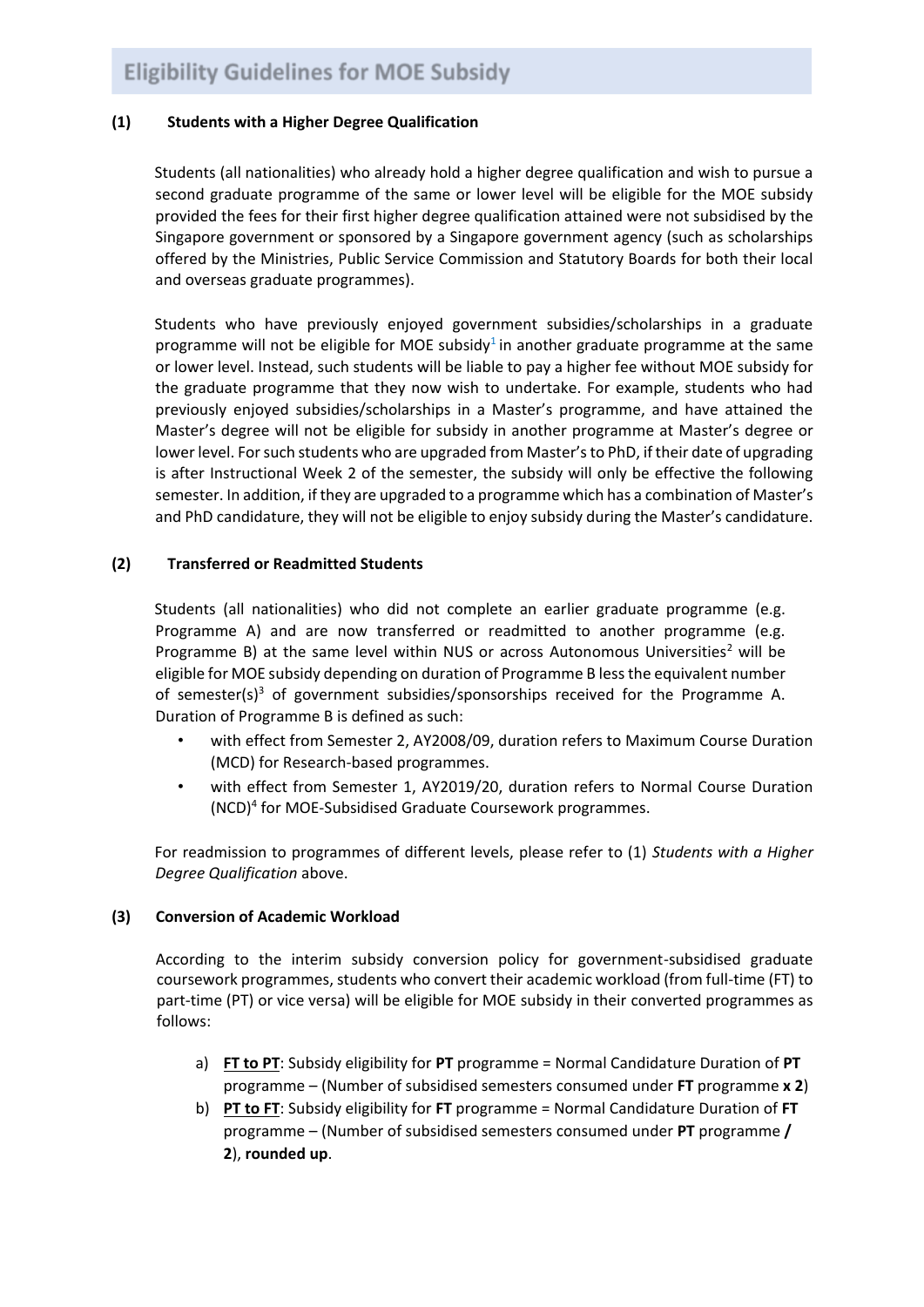## **(1) Students with a Higher Degree Qualification**

Students (all nationalities) who already hold a higher degree qualification and wish to pursue a second graduate programme of the same or lower level will be eligible for the MOE subsidy provided the fees for their first higher degree qualification attained were not subsidised by the Singapore government or sponsored by a Singapore government agency (such as scholarships offered by the Ministries, Public Service Commission and Statutory Boards for both their local and overseas graduate programmes).

Students who have previously enjoyed government subsidies/scholarships in a graduate programme will not be eligible for MOE subsidy<sup>1</sup> in another graduate programme at the same or lower level. Instead, such students will be liable to pay a higher fee without MOE subsidy for the graduate programme that they now wish to undertake. For example, students who had previously enjoyed subsidies/scholarships in a Master's programme, and have attained the Master's degree will not be eligible for subsidy in another programme at Master's degree or lower level. For such students who are upgraded from Master's to PhD, if their date of upgrading is after Instructional Week 2 of the semester, the subsidy will only be effective the following semester. In addition, if they are upgraded to a programme which has a combination of Master's and PhD candidature, they will not be eligible to enjoy subsidy during the Master's candidature.

## **(2) Transferred or Readmitted Students**

Students (all nationalities) who did not complete an earlier graduate programme (e.g. Programme A) and are now transferred or readmitted to another programme (e.g. Programme B) at the same level within NUS or across Autonomous Universities<sup>2</sup> will be eligible for MOE subsidy depending on duration of Programme B less the equivalent number of semester(s)<sup>3</sup> of government subsidies/sponsorships received for the Programme A. Duration of Programme B is defined as such:

- with effect from Semester 2, AY2008/09, duration refers to Maximum Course Duration (MCD) for Research-based programmes.
- with effect from Semester 1, AY2019/20, duration refers to Normal Course Duration (NCD)<sup>4</sup> for MOE-Subsidised Graduate Coursework programmes.

For readmission to programmes of different levels, please refer to (1) *Students with a Higher Degree Qualification* above.

## **(3) Conversion of Academic Workload**

According to the interim subsidy conversion policy for government-subsidised graduate coursework programmes, students who convert their academic workload (from full-time (FT) to part-time (PT) or vice versa) will be eligible for MOE subsidy in their converted programmes as follows:

- a) **FT to PT**: Subsidy eligibility for **PT** programme = Normal Candidature Duration of **PT** programme – (Number of subsidised semesters consumed under **FT** programme **x 2**)
- b) **PT to FT**: Subsidy eligibility for **FT** programme = Normal Candidature Duration of **FT** programme – (Number of subsidised semesters consumed under **PT** programme **/ 2**), **rounded up**.